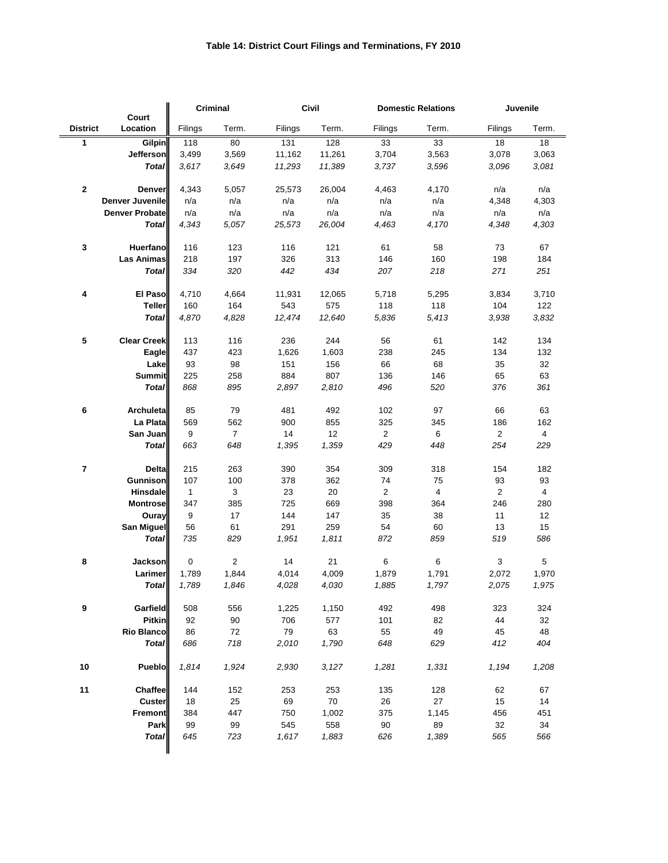|                         |                       | <b>Criminal</b> |                | Civil   |        | <b>Domestic Relations</b> |       | Juvenile       |                |
|-------------------------|-----------------------|-----------------|----------------|---------|--------|---------------------------|-------|----------------|----------------|
| <b>District</b>         | Court<br>Location     | Filings         | Term.          | Filings | Term.  | Filings                   | Term. | Filings        | Term.          |
| 1                       | <b>Gilpin</b>         | 118             | 80             | 131     | 128    | 33                        | 33    | 18             | 18             |
|                         | <b>Jefferson</b>      | 3,499           | 3,569          | 11,162  | 11,261 | 3,704                     | 3,563 | 3,078          | 3,063          |
|                         | <b>Total</b>          | 3,617           | 3,649          | 11,293  | 11,389 | 3,737                     | 3,596 | 3,096          | 3,081          |
| $\mathbf 2$             | <b>Denver</b>         | 4,343           | 5,057          | 25,573  | 26,004 | 4,463                     | 4,170 | n/a            | n/a            |
|                         | Denver Juvenile       | n/a             | n/a            | n/a     | n/a    | n/a                       | n/a   | 4,348          | 4,303          |
|                         | <b>Denver Probate</b> | n/a             | n/a            | n/a     | n/a    | n/a                       | n/a   | n/a            | n/a            |
|                         | <b>Total</b>          | 4,343           | 5,057          | 25,573  | 26,004 | 4,463                     | 4,170 | 4,348          | 4,303          |
| 3                       | <b>Huerfano</b>       | 116             | 123            | 116     | 121    | 61                        | 58    | 73             | 67             |
|                         | <b>Las Animas</b>     | 218             | 197            | 326     | 313    | 146                       | 160   | 198            | 184            |
|                         | <b>Total</b>          | 334             | 320            | 442     | 434    | 207                       | 218   | 271            | 251            |
| 4                       | <b>El Paso</b>        | 4,710           | 4,664          | 11,931  | 12,065 | 5,718                     | 5,295 | 3,834          | 3,710          |
|                         | <b>Teller</b>         | 160             | 164            | 543     | 575    | 118                       | 118   | 104            | 122            |
|                         | <b>Total</b>          | 4,870           | 4,828          | 12,474  | 12,640 | 5,836                     | 5,413 | 3,938          | 3,832          |
| 5                       | <b>Clear Creek</b>    | 113             | 116            | 236     | 244    | 56                        | 61    | 142            | 134            |
|                         | Eagle                 | 437             | 423            | 1,626   | 1,603  | 238                       | 245   | 134            | 132            |
|                         | Lake                  | 93              | 98             | 151     | 156    | 66                        | 68    | 35             | 32             |
|                         | <b>Summit</b>         | 225             | 258            | 884     | 807    | 136                       | 146   | 65             | 63             |
|                         | <b>Total</b>          | 868             | 895            | 2,897   | 2,810  | 496                       | 520   | 376            | 361            |
| 6                       | <b>Archuleta</b>      | 85              | 79             | 481     | 492    | 102                       | 97    | 66             | 63             |
|                         | La Plata              | 569             | 562            | 900     | 855    | 325                       | 345   | 186            | 162            |
|                         | San Juan              | 9               | $\overline{7}$ | 14      | 12     | $\overline{2}$            | 6     | $\overline{2}$ | $\overline{4}$ |
|                         | <b>Total</b>          | 663             | 648            | 1,395   | 1,359  | 429                       | 448   | 254            | 229            |
| $\overline{\mathbf{r}}$ | <b>Delta</b>          | 215             | 263            | 390     | 354    | 309                       | 318   | 154            | 182            |
|                         | <b>Gunnison</b>       | 107             | 100            | 378     | 362    | 74                        | 75    | 93             | 93             |
|                         | <b>Hinsdale</b>       | $\mathbf{1}$    | 3              | 23      | 20     | $\overline{2}$            | 4     | $\overline{2}$ | $\overline{4}$ |
|                         | <b>Montrose</b>       | 347             | 385            | 725     | 669    | 398                       | 364   | 246            | 280            |
|                         | <b>Ouray</b>          | 9               | 17             | 144     | 147    | $35\,$                    | 38    | 11             | 12             |
|                         | San Miguel            | 56              | 61             | 291     | 259    | 54                        | 60    | 13             | 15             |
|                         | <b>Total</b>          | 735             | 829            | 1,951   | 1,811  | 872                       | 859   | 519            | 586            |
| $\pmb{8}$               | <b>Jackson</b>        | $\mathbf 0$     | $\overline{2}$ | 14      | 21     | 6                         | 6     | $\mathbf{3}$   | 5              |
|                         | Larimer               | 1,789           | 1,844          | 4,014   | 4,009  | 1,879                     | 1,791 | 2,072          | 1,970          |
|                         | <b>Total</b>          | 1,789           | 1,846          | 4,028   | 4,030  | 1,885                     | 1,797 | 2,075          | 1,975          |
| 9                       | Garfield              | 508             | 556            | 1,225   | 1,150  | 492                       | 498   | 323            | 324            |
|                         | <b>Pitkin</b>         | 92              | 90             | 706     | 577    | 101                       | 82    | 44             | 32             |
|                         | Rio Blanco            | 86              | 72             | 79      | 63     | 55                        | 49    | 45             | 48             |
|                         | <b>Total</b>          | 686             | 718            | 2,010   | 1,790  | 648                       | 629   | 412            | 404            |
| 10                      | <b>Pueblo</b>         | 1,814           | 1,924          | 2,930   | 3,127  | 1,281                     | 1,331 | 1,194          | 1,208          |
| 11                      | <b>Chaffee</b>        | 144             | 152            | 253     | 253    | 135                       | 128   | 62             | 67             |
|                         | <b>Custer</b>         | 18              | 25             | 69      | 70     | 26                        | 27    | 15             | 14             |
|                         | <b>Fremont</b>        | 384             | 447            | 750     | 1,002  | 375                       | 1,145 | 456            | 451            |
|                         | Park                  | 99              | 99             | 545     | 558    | 90                        | 89    | 32             | 34             |
|                         | <b>Total</b>          | 645             | 723            | 1,617   | 1,883  | 626                       | 1,389 | 565            | 566            |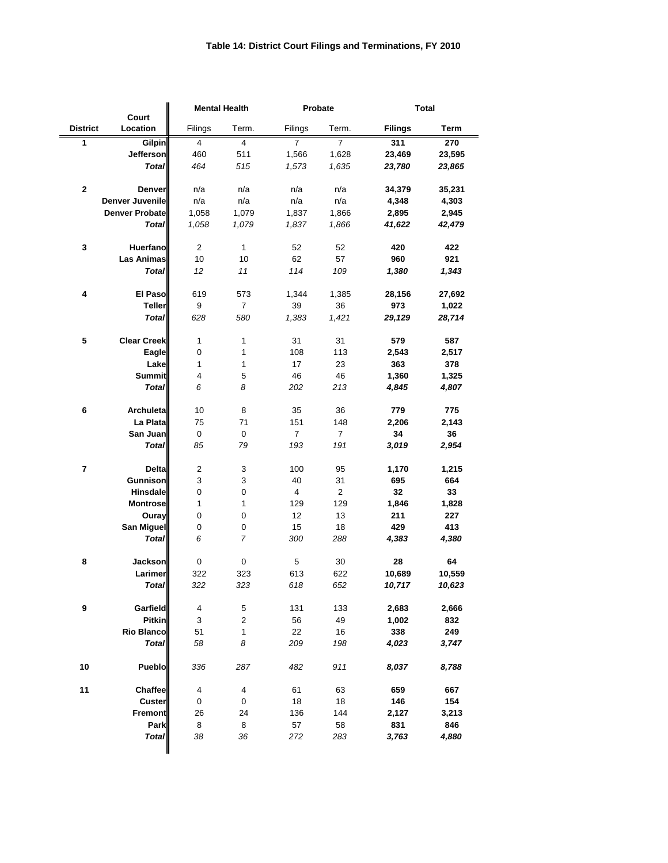|                 |                            | <b>Mental Health</b>      |                           | Probate                 |                | <b>Total</b>   |             |
|-----------------|----------------------------|---------------------------|---------------------------|-------------------------|----------------|----------------|-------------|
| <b>District</b> | <b>Court</b><br>Location   | Filings                   | Term.                     | Filings                 | Term.          | <b>Filings</b> | <b>Term</b> |
|                 |                            | $\overline{4}$            | $\overline{4}$            | $\overline{7}$          | $\overline{7}$ | 311            | 270         |
| 1               | <b>Gilpin</b><br>Jefferson | 460                       | 511                       | 1,566                   | 1,628          | 23,469         | 23,595      |
|                 | <b>Total</b>               | 464                       | 515                       | 1,573                   | 1,635          | 23,780         | 23,865      |
|                 |                            |                           |                           |                         |                |                |             |
| $\mathbf 2$     | <b>Denver</b>              | n/a                       | n/a                       | n/a                     | n/a            | 34,379         | 35,231      |
|                 | <b>Denver Juvenile</b>     | n/a                       | n/a                       | n/a                     | n/a            | 4,348          | 4,303       |
|                 | <b>Denver Probate</b>      | 1,058                     | 1,079                     | 1,837                   | 1,866          | 2,895          | 2,945       |
|                 | <b>Total</b>               | 1,058                     | 1,079                     | 1,837                   | 1,866          | 41,622         | 42,479      |
| 3               | <b>Huerfano</b>            | $\overline{c}$            | $\mathbf{1}$              | 52                      | 52             | 420            | 422         |
|                 | <b>Las Animas</b>          | 10                        | 10                        | 62                      | 57             | 960            | 921         |
|                 | <b>Total</b>               | 12                        | 11                        | 114                     | 109            | 1,380          | 1,343       |
|                 |                            |                           |                           |                         |                |                |             |
| 4               | El Paso                    | 619                       | 573                       | 1,344                   | 1,385          | 28,156         | 27,692      |
|                 | <b>Teller</b>              | 9                         | $\overline{7}$            | 39                      | 36             | 973            | 1,022       |
|                 | <b>Total</b>               | 628                       | 580                       | 1,383                   | 1,421          | 29,129         | 28,714      |
| 5               | <b>Clear Creek</b>         | 1                         | 1                         | 31                      | 31             | 579            | 587         |
|                 | <b>Eagle</b>               | $\pmb{0}$                 | 1                         | 108                     | 113            | 2,543          | 2,517       |
|                 | Lake                       | 1                         | 1                         | 17                      | 23             | 363            | 378         |
|                 | <b>Summit</b>              | $\overline{4}$            | 5                         | 46                      | 46             | 1,360          | 1,325       |
|                 | <b>Total</b>               | 6                         | 8                         | 202                     | 213            | 4,845          | 4,807       |
|                 |                            |                           |                           |                         |                |                |             |
| 6               | Archuleta                  | 10                        | 8                         | 35                      | 36             | 779            | 775         |
|                 | La Plata                   | 75                        | 71                        | 151                     | 148            | 2,206          | 2,143       |
|                 | San Juan                   | $\pmb{0}$                 | $\pmb{0}$                 | $\overline{7}$          | $\overline{7}$ | 34             | 36          |
|                 | <b>Total</b>               | 85                        | 79                        | 193                     | 191            | 3,019          | 2,954       |
| 7               | <b>Delta</b>               | $\overline{c}$            | 3                         | 100                     | 95             | 1,170          | 1,215       |
|                 | <b>Gunnison</b>            | $\ensuremath{\mathsf{3}}$ | $\ensuremath{\mathsf{3}}$ | 40                      | 31             | 695            | 664         |
|                 | <b>Hinsdale</b>            | $\pmb{0}$                 | 0                         | $\overline{\mathbf{4}}$ | $\overline{c}$ | 32             | 33          |
|                 | <b>Montrose</b>            | 1                         | 1                         | 129                     | 129            | 1,846          | 1,828       |
|                 | <b>Ouray</b>               | U                         | 0                         | 12                      | 13             | 211            | 227         |
|                 | San Miguel                 | $\,0\,$                   | $\mathbf 0$               | 15                      | 18             | 429            | 413         |
|                 | <b>Total</b>               | 6                         | $\overline{7}$            | 300                     | 288            | 4,383          | 4,380       |
|                 |                            | $\pmb{0}$                 | $\pmb{0}$                 | 5                       | 30             | 28             | 64          |
| 8               | <b>Jackson</b><br>Larimer  | 322                       | 323                       | 613                     | 622            | 10,689         | 10,559      |
|                 | <b>Total</b>               | 322                       | 323                       | 618                     | 652            | 10,717         | 10,623      |
|                 |                            |                           |                           |                         |                |                |             |
| 9               | Garfield                   | $\overline{4}$            | $\mathbf 5$               | 131                     | 133            | 2,683          | 2,666       |
|                 | <b>Pitkin</b>              | $\ensuremath{\mathsf{3}}$ | $\overline{c}$            | 56                      | 49             | 1,002          | 832         |
|                 | <b>Rio Blanco</b>          | 51                        | $\mathbf{1}$              | 22                      | 16             | 338            | 249         |
|                 | <b>Total</b>               | 58                        | 8                         | 209                     | 198            | 4,023          | 3,747       |
| 10              | <b>Pueblo</b>              | 336                       | 287                       | 482                     | 911            | 8,037          | 8,788       |
|                 |                            |                           |                           |                         |                |                |             |
| 11              | <b>Chaffee</b>             | $\overline{\mathbf{4}}$   | 4                         | 61                      | 63             | 659            | 667         |
|                 | <b>Custer</b>              | $\pmb{0}$                 | $\,0\,$                   | 18                      | 18             | 146            | 154         |
|                 | <b>Fremont</b>             | 26                        | 24                        | 136                     | 144            | 2,127          | 3,213       |
|                 | Park                       | $\bf 8$                   | $\bf 8$                   | 57                      | 58             | 831            | 846         |
|                 | <b>Total</b>               | 38                        | 36                        | 272                     | 283            | 3,763          | 4,880       |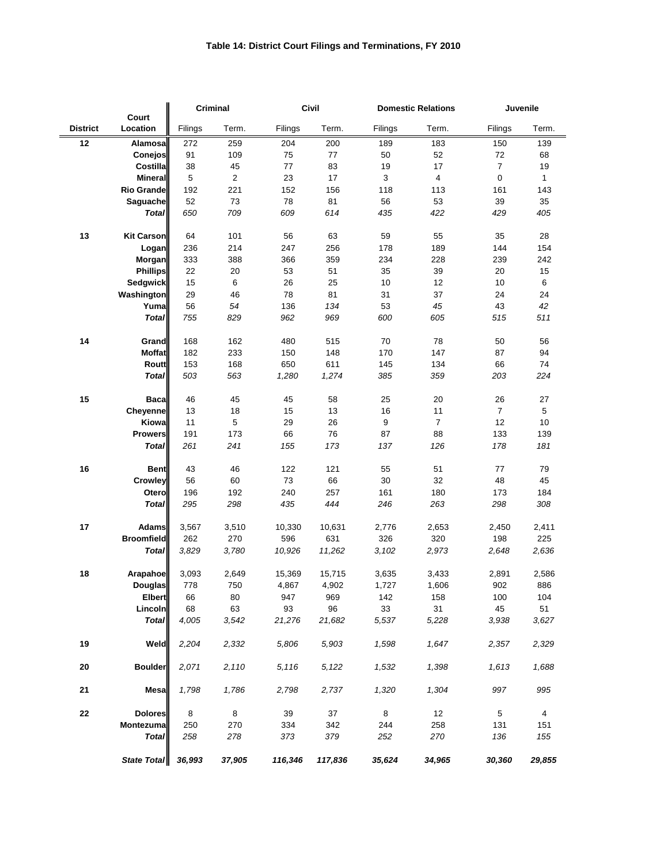## **Table 14: District Court Filings and Terminations, FY 2010**

|                 |                   | <b>Criminal</b> |            | <b>Civil</b> |         | <b>Domestic Relations</b> |                | Juvenile       |                |
|-----------------|-------------------|-----------------|------------|--------------|---------|---------------------------|----------------|----------------|----------------|
| <b>District</b> | Court<br>Location | Filings         | Term.      | Filings      | Term.   | Filings                   | Term.          | Filings        | Term.          |
| 12              | Alamosal          | 272             | 259        | 204          | 200     | 189                       | 183            | 150            | 139            |
|                 | Conejos           | 91              | 109        | 75           | 77      | 50                        | 52             | 72             | 68             |
|                 | Costilla          | 38              | 45         | $77 \,$      | 83      | 19                        | 17             | $\overline{7}$ | 19             |
|                 | <b>Mineral</b>    | $\mathbf 5$     | $\sqrt{2}$ | 23           | 17      | 3                         | $\overline{4}$ | $\pmb{0}$      | $\mathbf{1}$   |
|                 | Rio Grande        | 192             | 221        | 152          | 156     | 118                       | 113            | 161            | 143            |
|                 | Saguache          | 52              | 73         | 78           | 81      | 56                        | 53             | 39             | 35             |
|                 | <b>Total</b>      | 650             | 709        | 609          | 614     | 435                       | 422            | 429            | 405            |
|                 |                   |                 |            |              |         |                           |                |                |                |
| 13              | <b>Kit Carson</b> | 64              | 101        | 56           | 63      | 59                        | 55             | 35             | 28             |
|                 | Logan             | 236             | 214        | 247          | 256     | 178                       | 189            | 144            | 154            |
|                 | <b>Morgan</b>     | 333             | 388        | 366          | 359     | 234                       | 228            | 239            | 242            |
|                 | <b>Phillips</b>   | 22              | 20         | 53           | 51      | 35                        | 39             | 20             | 15             |
|                 | <b>Sedgwick</b>   | 15              | $\,6$      | 26           | 25      | 10                        | 12             | $10$           | $\,6\,$        |
|                 | <b>Washington</b> | 29              | 46         | 78           | 81      | 31                        | 37             | 24             | 24             |
|                 | Yuma              | 56              | 54         | 136          | 134     | 53                        | 45             | 43             | 42             |
|                 | <b>Total</b>      | 755             | 829        | 962          | 969     | 600                       | 605            | 515            | 511            |
| 14              | Grand             | 168             | 162        | 480          | 515     | 70                        | 78             | 50             | 56             |
|                 | <b>Moffat</b>     | 182             | 233        | 150          | 148     | 170                       | 147            | 87             | 94             |
|                 | <b>Routt</b>      | 153             | 168        | 650          | 611     | 145                       | 134            | 66             | 74             |
|                 | <b>Total</b>      | 503             | 563        | 1,280        | 1,274   | 385                       | 359            | 203            | 224            |
| 15              | <b>Baca</b>       | 46              | 45         | 45           | 58      | 25                        | 20             | 26             | 27             |
|                 | <b>Cheyenne</b>   | 13              | 18         | 15           | 13      | 16                        | 11             | $\overline{7}$ | $\sqrt{5}$     |
|                 | Kiowa             | 11              | 5          | 29           | 26      | $\boldsymbol{9}$          | $\overline{7}$ | 12             | 10             |
|                 | <b>Prowers</b>    | 191             | 173        | 66           | 76      | 87                        | 88             | 133            | 139            |
|                 | <b>Total</b>      | 261             | 241        | 155          | 173     | 137                       | 126            | 178            | 181            |
| 16              | <b>Bent</b>       | 43              | 46         | 122          | 121     | 55                        | 51             | 77             | 79             |
|                 | Crowley           | 56              | 60         | 73           | 66      | 30                        | 32             | 48             | 45             |
|                 | <b>Otero</b>      | 196             | 192        | 240          | 257     | 161                       | 180            | 173            | 184            |
|                 | <b>Total</b>      | 295             | 298        | 435          | 444     | 246                       | 263            | 298            | 308            |
|                 |                   |                 |            |              |         |                           |                |                |                |
| 17              | <b>Adams</b>      | 3,567           | 3,510      | 10,330       | 10,631  | 2,776                     | 2,653          | 2,450          | 2,411          |
|                 | <b>Broomfield</b> | 262             | 270        | 596          | 631     | 326                       | 320            | 198            | 225            |
|                 | <b>Total</b>      | 3,829           | 3,780      | 10,926       | 11,262  | 3,102                     | 2,973          | 2,648          | 2,636          |
| 18              | Arapahoe          | 3,093           | 2,649      | 15,369       | 15,715  | 3,635                     | 3,433          | 2,891          | 2,586          |
|                 | <b>Douglas</b>    | 778             | 750        | 4,867        | 4,902   | 1,727                     | 1,606          | 902            | 886            |
|                 | <b>Elbert</b>     | 66              | 80         | 947          | 969     | 142                       | 158            | 100            | 104            |
|                 | Lincoln           | 68              | 63         | 93           | 96      | 33                        | 31             | 45             | 51             |
|                 | <b>Total</b>      | 4,005           | 3,542      | 21,276       | 21,682  | 5,537                     | 5,228          | 3,938          | 3,627          |
| 19              | Weld              | 2,204           | 2,332      | 5,806        | 5,903   | 1,598                     | 1,647          | 2,357          | 2,329          |
| 20              | <b>Boulder</b>    | 2,071           | 2,110      | 5,116        | 5,122   | 1,532                     | 1,398          | 1,613          | 1,688          |
| 21              | Mesa              | 1,798           | 1,786      | 2,798        | 2,737   | 1,320                     | 1,304          | 997            | 995            |
| 22              | <b>Dolores</b>    | 8               | 8          | 39           | 37      | 8                         | 12             | $\overline{5}$ | $\overline{4}$ |
|                 | Montezuma         | 250             | 270        | 334          | 342     | 244                       | 258            | 131            | 151            |
|                 | <b>Total</b>      | 258             | 278        | 373          | 379     | 252                       | 270            | 136            | 155            |
|                 |                   |                 |            |              |         |                           |                |                |                |
|                 | State Total       | 36,993          | 37,905     | 116,346      | 117,836 | 35,624                    | 34,965         | 30,360         | 29,855         |